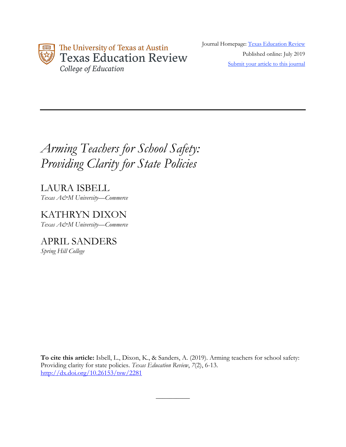

Journal Homepage: Texas Education Review Published online: July 2019 Submit your article to this journal

# *Arming Teachers for School Safety: Providing Clarity for State Policies*

LAURA ISBELL *Texas A&M University—Commerce*

KATHRYN DIXON *Texas A&M University—Commerce*

APRIL SANDERS *Spring Hill College*

**To cite this article:** Isbell, L., Dixon, K., & Sanders, A. (2019). Arming teachers for school safety: Providing clarity for state policies. *Texas Education Review*, *7*(2), 6-13. http://dx.doi.org/10.26153/tsw/2281

 $\overline{\phantom{a}}$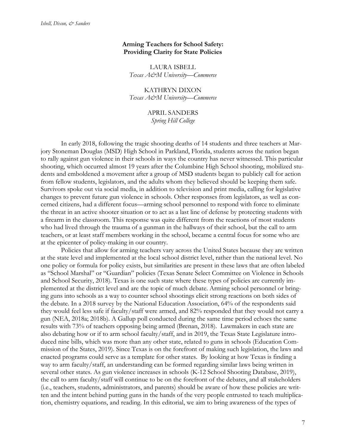## **Arming Teachers for School Safety: Providing Clarity for State Policies**

LAURA ISBELL *Texas A&M University—Commerce*

KATHRYN DIXON *Texas A&M University—Commerce*

> APRIL SANDERS *Spring Hill College*

In early 2018, following the tragic shooting deaths of 14 students and three teachers at Marjory Stoneman Douglas (MSD) High School in Parkland, Florida, students across the nation began to rally against gun violence in their schools in ways the country has never witnessed. This particular shooting, which occurred almost 19 years after the Columbine High School shooting, mobilized students and emboldened a movement after a group of MSD students began to publicly call for action from fellow students, legislators, and the adults whom they believed should be keeping them safe. Survivors spoke out via social media, in addition to television and print media, calling for legislative changes to prevent future gun violence in schools. Other responses from legislators, as well as concerned citizens, had a different focus—arming school personnel to respond with force to eliminate the threat in an active shooter situation or to act as a last line of defense by protecting students with a firearm in the classroom. This response was quite different from the reactions of most students who had lived through the trauma of a gunman in the hallways of their school, but the call to arm teachers, or at least staff members working in the school, became a central focus for some who are at the epicenter of policy-making in our country.

Policies that allow for arming teachers vary across the United States because they are written at the state level and implemented at the local school district level, rather than the national level. No one policy or formula for policy exists, but similarities are present in these laws that are often labeled as "School Marshal" or "Guardian" policies (Texas Senate Select Committee on Violence in Schools and School Security, 2018). Texas is one such state where these types of policies are currently implemented at the district level and are the topic of much debate. Arming school personnel or bringing guns into schools as a way to counter school shootings elicit strong reactions on both sides of the debate. In a 2018 survey by the National Education Association, 64% of the respondents said they would feel less safe if faculty/staff were armed, and 82% responded that they would not carry a gun (NEA, 2018a; 2018b). A Gallup poll conducted during the same time period echoes the same results with 73% of teachers opposing being armed (Brenan, 2018). Lawmakers in each state are also debating how or if to arm school faculty/staff, and in 2019, the Texas State Legislature introduced nine bills, which was more than any other state, related to guns in schools (Education Commission of the States, 2019). Since Texas is on the forefront of making such legislation, the laws and enacted programs could serve as a template for other states. By looking at how Texas is finding a way to arm faculty/staff, an understanding can be formed regarding similar laws being written in several other states. As gun violence increases in schools (K-12 School Shooting Database, 2019), the call to arm faculty/staff will continue to be on the forefront of the debates, and all stakeholders (i.e., teachers, students, administrators, and parents) should be aware of how these policies are written and the intent behind putting guns in the hands of the very people entrusted to teach multiplication, chemistry equations, and reading. In this editorial, we aim to bring awareness of the types of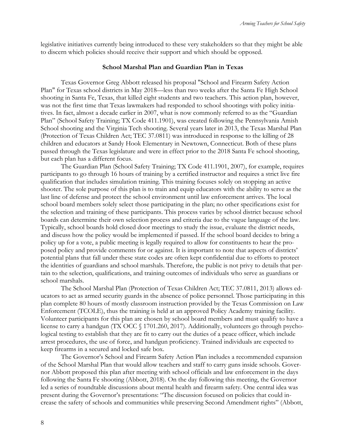legislative initiatives currently being introduced to these very stakeholders so that they might be able to discern which policies should receive their support and which should be opposed.

#### **School Marshal Plan and Guardian Plan in Texas**

Texas Governor Greg Abbott released his proposal "School and Firearm Safety Action Plan" for Texas school districts in May 2018—less than two weeks after the Santa Fe High School shooting in Santa Fe, Texas, that killed eight students and two teachers. This action plan, however, was not the first time that Texas lawmakers had responded to school shootings with policy initiatives. In fact, almost a decade earlier in 2007, what is now commonly referred to as the "Guardian Plan" (School Safety Training; TX Code 411.1901), was created following the Pennsylvania Amish School shooting and the Virginia Tech shooting. Several years later in 2013, the Texas Marshal Plan (Protection of Texas Children Act; TEC 37.0811) was introduced in response to the killing of 28 children and educators at Sandy Hook Elementary in Newtown, Connecticut. Both of these plans passed through the Texas legislature and were in effect prior to the 2018 Santa Fe school shooting, but each plan has a different focus.

The Guardian Plan (School Safety Training; TX Code 411.1901, 2007), for example, requires participants to go through 16 hours of training by a certified instructor and requires a strict live fire qualification that includes simulation training. This training focuses solely on stopping an active shooter. The sole purpose of this plan is to train and equip educators with the ability to serve as the last line of defense and protect the school environment until law enforcement arrives. The local school board members solely select those participating in the plan; no other specifications exist for the selection and training of these participants. This process varies by school district because school boards can determine their own selection process and criteria due to the vague language of the law. Typically, school boards hold closed door meetings to study the issue, evaluate the district needs, and discuss how the policy would be implemented if passed. If the school board decides to bring a policy up for a vote, a public meeting is legally required to allow for constituents to hear the proposed policy and provide comments for or against. It is important to note that aspects of districts' potential plans that fall under these state codes are often kept confidential due to efforts to protect the identities of guardians and school marshals. Therefore, the public is not privy to details that pertain to the selection, qualifications, and training outcomes of individuals who serve as guardians or school marshals.

The School Marshal Plan (Protection of Texas Children Act; TEC 37.0811, 2013) allows educators to act as armed security guards in the absence of police personnel. Those participating in this plan complete 80 hours of mostly classroom instruction provided by the Texas Commission on Law Enforcement (TCOLE), thus the training is held at an approved Policy Academy training facility. Volunteer participants for this plan are chosen by school board members and must qualify to have a license to carry a handgun (TX OCC § 1701.260, 2017). Additionally, volunteers go through psychological testing to establish that they are fit to carry out the duties of a peace officer, which include arrest procedures, the use of force, and handgun proficiency. Trained individuals are expected to keep firearms in a secured and locked safe box.

The Governor's School and Firearm Safety Action Plan includes a recommended expansion of the School Marshal Plan that would allow teachers and staff to carry guns inside schools. Governor Abbott proposed this plan after meeting with school officials and law enforcement in the days following the Santa Fe shooting (Abbott, 2018). On the day following this meeting, the Governor led a series of roundtable discussions about mental health and firearm safety. One central idea was present during the Governor's presentations: "The discussion focused on policies that could increase the safety of schools and communities while preserving Second Amendment rights" (Abbott,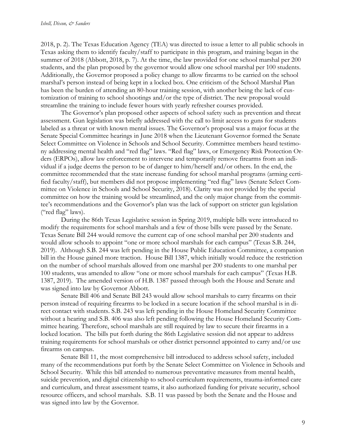2018, p. 2). The Texas Education Agency (TEA) was directed to issue a letter to all public schools in Texas asking them to identify faculty/staff to participate in this program, and training began in the summer of 2018 (Abbott, 2018, p. 7). At the time, the law provided for one school marshal per 200 students, and the plan proposed by the governor would allow one school marshal per 100 students. Additionally, the Governor proposed a policy change to allow firearms to be carried on the school marshal's person instead of being kept in a locked box. One criticism of the School Marshal Plan has been the burden of attending an 80-hour training session, with another being the lack of customization of training to school shootings and/or the type of district. The new proposal would streamline the training to include fewer hours with yearly refresher courses provided.

The Governor's plan proposed other aspects of school safety such as prevention and threat assessment. Gun legislation was briefly addressed with the call to limit access to guns for students labeled as a threat or with known mental issues. The Governor's proposal was a major focus at the Senate Special Committee hearings in June 2018 when the Lieutenant Governor formed the Senate Select Committee on Violence in Schools and School Security. Committee members heard testimony addressing mental health and "red flag" laws. "Red flag" laws, or Emergency Risk Protection Orders (ERPOs), allow law enforcement to intervene and temporarily remove firearms from an individual if a judge deems the person to be of danger to him/herself and/or others. In the end, the committee recommended that the state increase funding for school marshal programs (arming certified faculty/staff), but members did not propose implementing "red flag" laws (Senate Select Committee on Violence in Schools and School Security, 2018). Clarity was not provided by the special committee on how the training would be streamlined, and the only major change from the committee's recommendations and the Governor's plan was the lack of support on stricter gun legislation ("red flag" laws).

During the 86th Texas Legislative session in Spring 2019, multiple bills were introduced to modify the requirements for school marshals and a few of those bills were passed by the Senate. Texas Senate Bill 244 would remove the current cap of one school marshal per 200 students and would allow schools to appoint "one or more school marshals for each campus" (Texas S.B. 244, 2019). Although S.B. 244 was left pending in the House Public Education Committee, a companion bill in the House gained more traction. House Bill 1387, which initially would reduce the restriction on the number of school marshals allowed from one marshal per 200 students to one marshal per 100 students, was amended to allow "one or more school marshals for each campus" (Texas H.B. 1387, 2019). The amended version of H.B. 1387 passed through both the House and Senate and was signed into law by Governor Abbott.

Senate Bill 406 and Senate Bill 243 would allow school marshals to carry firearms on their person instead of requiring firearms to be locked in a secure location if the school marshal is in direct contact with students. S.B. 243 was left pending in the House Homeland Security Committee without a hearing and S.B. 406 was also left pending following the House Homeland Security Committee hearing. Therefore, school marshals are still required by law to secure their firearms in a locked location. The bills put forth during the 86th Legislative session did not appear to address training requirements for school marshals or other district personnel appointed to carry and/or use firearms on campus.

Senate Bill 11, the most comprehensive bill introduced to address school safety, included many of the recommendations put forth by the Senate Select Committee on Violence in Schools and School Security. While this bill attended to numerous preventative measures from mental health, suicide prevention, and digital citizenship to school curriculum requirements, trauma-informed care and curriculum, and threat assessment teams, it also authorized funding for private security, school resource officers, and school marshals. S.B. 11 was passed by both the Senate and the House and was signed into law by the Governor.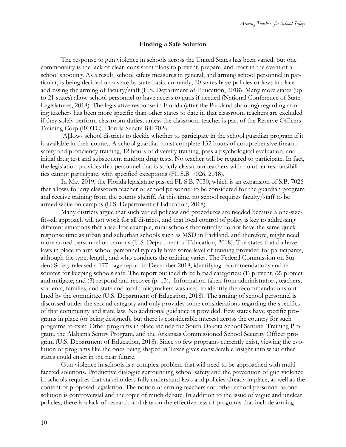## **Finding a Safe Solution**

The response to gun violence in schools across the United States has been varied, but one commonality is the lack of clear, consistent plans to prevent, prepare, and react in the event of a school shooting. As a result, school safety measures in general, and arming school personnel in particular, is being decided on a state by state basis; currently, 10 states have policies or laws in place addressing the arming of faculty/staff (U.S. Department of Education, 2018). Many more states (up to 21 states) allow school personnel to have access to guns if needed (National Conference of State Legislatures, 2018). The legislative response in Florida (after the Parkland shooting) regarding arming teachers has been more specific than other states to date in that classroom teachers are excluded if they solely perform classroom duties, unless the classroom teacher is part of the Reserve Officers Training Corp (ROTC). Florida Senate Bill 7026:

[A]llows school districts to decide whether to participate in the school guardian program if it is available in their county. A school guardian must complete 132 hours of comprehensive firearm safety and proficiency training, 12 hours of diversity training, pass a psychological evaluation, and initial drug test and subsequent random drug tests. No teacher will be required to participate. In fact, the legislation provides that personnel that is strictly classroom teachers with no other responsibilities cannot participate, with specified exceptions (FL S.B. 7026, 2018).

In May 2019, the Florida legislature passed FL S.B. 7030, which is an expansion of S.B. 7026 that allows for any classroom teacher or school personnel to be considered for the guardian program and receive training from the county sheriff. At this time, no school requires faculty/staff to be armed while on campus (U.S. Department of Education, 2018).

Many districts argue that such varied policies and procedures are needed because a one-sizefits-all approach will not work for all districts, and that local control of policy is key to addressing different situations that arise. For example, rural schools theoretically do not have the same quick response time as urban and suburban schools such as MSD in Parkland, and therefore, might need more armed personnel on campus (U.S. Department of Education, 2018). The states that do have laws in place to arm school personnel typically have some level of training provided for participants, although the type, length, and who conducts the training varies. The Federal Commission on Student Safety released a 177-page report in December 2018, identifying recommendations and resources for keeping schools safe. The report outlined three broad categories: (1) prevent, (2) protect and mitigate, and (3) respond and recover (p. 13). Information taken from administrators, teachers, students, families, and state and local policymakers was used to identify the recommendations outlined by the committee (U.S. Department of Education, 2018). The arming of school personnel is discussed under the second category and only provides some considerations regarding the specifics of that community and state law. No additional guidance is provided. Few states have specific programs in place (or being designed), but there is considerable interest across the country for such programs to exist. Other programs in place include the South Dakota School Sentinel Training Program, the Alabama Sentry Program, and the Arkansas Commissioned School Security Officer program (U.S. Department of Education, 2018). Since so few programs currently exist, viewing the evolution of programs like the ones being shaped in Texas gives considerable insight into what other states could enact in the near future.

Gun violence in schools is a complex problem that will need to be approached with multifaceted solutions. Productive dialogue surrounding school safety and the prevention of gun violence in schools requires that stakeholders fully understand laws and policies already in place, as well as the content of proposed legislation. The notion of arming teachers and other school personnel as one solution is controversial and the topic of much debate. In addition to the issue of vague and unclear policies, there is a lack of research and data on the effectiveness of programs that include arming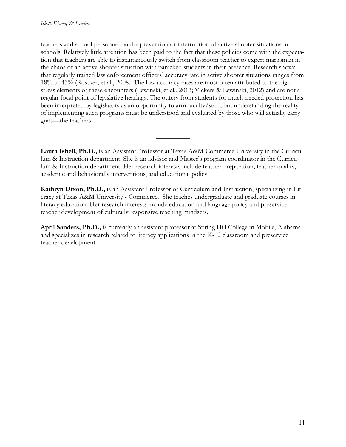teachers and school personnel on the prevention or interruption of active shooter situations in schools. Relatively little attention has been paid to the fact that these policies come with the expectation that teachers are able to instantaneously switch from classroom teacher to expert marksman in the chaos of an active shooter situation with panicked students in their presence. Research shows that regularly trained law enforcement officers' accuracy rate in active shooter situations ranges from 18% to 43% (Rostker, et al., 2008. The low accuracy rates are most often attributed to the high stress elements of these encounters (Lewinski, et al., 2013; Vickers & Lewinski, 2012) and are not a regular focal point of legislative hearings. The outcry from students for much-needed protection has been interpreted by legislators as an opportunity to arm faculty/staff, but understanding the reality of implementing such programs must be understood and evaluated by those who will actually carry guns—the teachers.

**Laura Isbell, Ph.D.,** is an Assistant Professor at Texas A&M-Commerce University in the Curriculum & Instruction department. She is an advisor and Master's program coordinator in the Curriculum & Instruction department. Her research interests include teacher preparation, teacher quality, academic and behaviorally interventions, and educational policy.

 $\overline{\phantom{a}}$ 

**Kathryn Dixon, Ph.D.,** is an Assistant Professor of Curriculum and Instruction, specializing in Literacy at Texas A&M University - Commerce. She teaches undergraduate and graduate courses in literacy education. Her research interests include education and language policy and preservice teacher development of culturally responsive teaching mindsets.

**April Sanders, Ph.D.,** is currently an assistant professor at Spring Hill College in Mobile, Alabama, and specializes in research related to literacy applications in the K-12 classroom and preservice teacher development.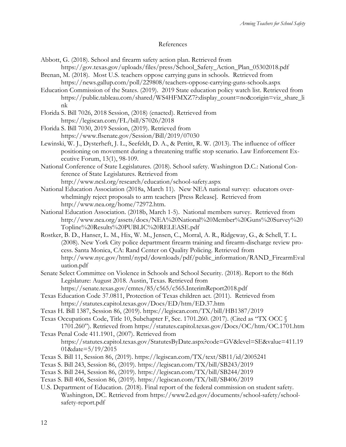## References

Abbott, G. (2018). School and firearm safety action plan. Retrieved from

https://gov.texas.gov/uploads/files/press/School\_Safety\_Action\_Plan\_05302018.pdf Brenan, M. (2018). Most U.S. teachers oppose carrying guns in schools. Retrieved from

https://news.gallup.com/poll/229808/teachers-oppose-carrying-guns-schools.aspx

- Education Commission of the States. (2019). 2019 State education policy watch list. Retrieved from https://public.tableau.com/shared/WS4HFMXZ7?:display\_count=no&:origin=viz\_share\_li nk
- Florida S. Bill 7026, 2018 Session, (2018) (enacted). Retrieved from https://legiscan.com/FL/bill/S7026/2018

Florida S. Bill 7030, 2019 Session, (2019). Retrieved from https://www.flsenate.gov/Session/Bill/2019/07030

- Lewinski, W. J., Dysterheft, J. L., Seefeldt, D. A., & Pettitt, R. W. (2013). The influence of officer positioning on movement during a threatening traffic stop scenario. Law Enforcement Executive Forum, 13(1), 98-109.
- National Conference of State Legislatures. (2018). School safety. Washington D.C.: National Conference of State Legislatures. Retrieved from http://www.ncsl.org/research/education/school-safety.aspx
- National Education Association (2018a, March 11). New NEA national survey: educators overwhelmingly reject proposals to arm teachers [Press Release]. Retrieved from http://www.nea.org/home/72972.htm.
- National Education Association. (2018b, March 1-5). National members survey. Retrieved from http://www.nea.org/assets/docs/NEA%20National%20Member%20Guns%20Survey%20 Topline%20Results%20PUBLIC%20RELEASE.pdf
- Rostker, B. D., Hanser, L. M., Hix, W. M., Jensen, C., Morral, A. R., Ridgeway, G., & Schell, T. L. (2008). New York City police department firearm training and firearm-discharge review process. Santa Monica, CA: Rand Center on Quality Policing. Retrieved from http://www.nyc.gov/html/nypd/downloads/pdf/public\_information/RAND\_FirearmEval uation.pdf
- Senate Select Committee on Violence in Schools and School Security. (2018). Report to the 86th Legislature: August 2018. Austin, Texas. Retrieved from https://senate.texas.gov/cmtes/85/c565/c565.InterimReport2018.pdf
- Texas Education Code 37.0811, Protection of Texas children act. (2011). Retrieved from https://statutes.capitol.texas.gov/Docs/ED/htm/ED.37.htm
- Texas H. Bill 1387, Session 86, (2019). https://legiscan.com/TX/bill/HB1387/2019
- Texas Occupations Code, Title 10, Subchapter F, Sec. 1701.260. (2017). (Cited as "TX OCC § 1701.260"). Retrieved from https://statutes.capitol.texas.gov/Docs/OC/htm/OC.1701.htm
- Texas Penal Code 411.1901, (2007). Retrieved from https://statutes.capitol.texas.gov/StatutesByDate.aspx?code=GV&level=SE&value=411.19 01&date=5/19/2015
- Texas S. Bill 11, Session 86, (2019). https://legiscan.com/TX/text/SB11/id/2005241
- Texas S. Bill 243, Session 86, (2019). https://legiscan.com/TX/bill/SB243/2019
- Texas S. Bill 244, Session 86, (2019). https://legiscan.com/TX/bill/SB244/2019
- Texas S. Bill 406, Session 86, (2019). https://legiscan.com/TX/bill/SB406/2019
- U.S. Department of Education. (2018). Final report of the federal commission on student safety. Washington, DC. Retrieved from https://www2.ed.gov/documents/school-safety/schoolsafety-report.pdf